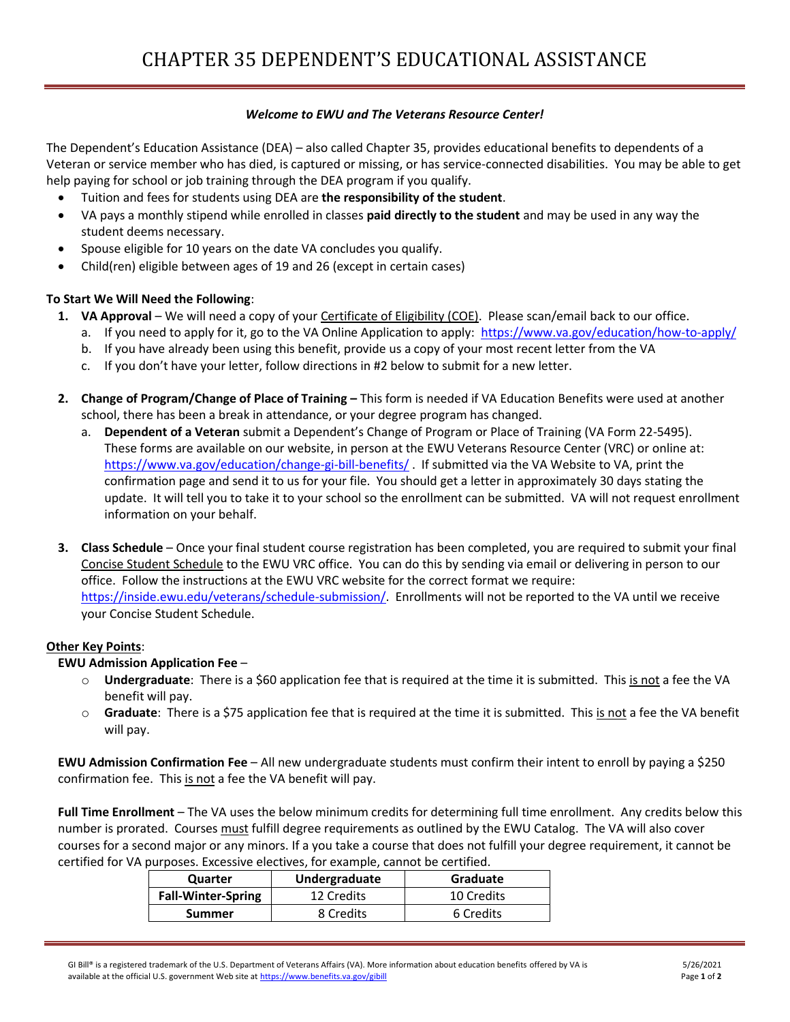## *Welcome to EWU and The Veterans Resource Center!*

The Dependent's Education Assistance (DEA) – also called Chapter 35, provides educational benefits to dependents of a Veteran or service member who has died, is captured or missing, or has service-connected disabilities. You may be able to get help paying for school or job training through the DEA program if you qualify.

- Tuition and fees for students using DEA are **the responsibility of the student**.
- VA pays a monthly stipend while enrolled in classes **paid directly to the student** and may be used in any way the student deems necessary.
- Spouse eligible for 10 years on the date VA concludes you qualify.
- Child(ren) eligible between ages of 19 and 26 (except in certain cases)

## **To Start We Will Need the Following**:

- **1. VA Approval**  We will need a copy of your Certificate of Eligibility (COE). Please scan/email back to our office.
	- a. If you need to apply for it, go to the VA Online Application to apply:<https://www.va.gov/education/how-to-apply/>
	- b. If you have already been using this benefit, provide us a copy of your most recent letter from the VA
	- c. If you don't have your letter, follow directions in #2 below to submit for a new letter.
- **2.** Change of Program/Change of Place of Training This form is needed if VA Education Benefits were used at another school, there has been a break in attendance, or your degree program has changed.
	- a. **Dependent of a Veteran** submit a Dependent's Change of Program or Place of Training (VA Form 22-5495). These forms are available on our website, in person at the EWU Veterans Resource Center (VRC) or online at: <https://www.va.gov/education/change-gi-bill-benefits/> . If submitted via the VA Website to VA, print the confirmation page and send it to us for your file. You should get a letter in approximately 30 days stating the update. It will tell you to take it to your school so the enrollment can be submitted. VA will not request enrollment information on your behalf.
- **3. Class Schedule**  Once your final student course registration has been completed, you are required to submit your final Concise Student Schedule to the EWU VRC office. You can do this by sending via email or delivering in person to our office. Follow the instructions at the EWU VRC website for the correct format we require: [https://inside.ewu.edu/veterans/schedule-submission/.](https://inside.ewu.edu/veterans/schedule-submission/) Enrollments will not be reported to the VA until we receive your Concise Student Schedule.

## **Other Key Points**:

## **EWU Admission Application Fee** –

- o **Undergraduate**: There is a \$60 application fee that is required at the time it is submitted. This is not a fee the VA benefit will pay.
- o **Graduate**: There is a \$75 application fee that is required at the time it is submitted. This is not a fee the VA benefit will pay.

**EWU Admission Confirmation Fee** – All new undergraduate students must confirm their intent to enroll by paying a \$250 confirmation fee. This is not a fee the VA benefit will pay.

**Full Time Enrollment** – The VA uses the below minimum credits for determining full time enrollment. Any credits below this number is prorated. Courses must fulfill degree requirements as outlined by the EWU Catalog. The VA will also cover courses for a second major or any minors. If a you take a course that does not fulfill your degree requirement, it cannot be certified for VA purposes. Excessive electives, for example, cannot be certified.

| Quarter                   | Undergraduate | Graduate   |
|---------------------------|---------------|------------|
| <b>Fall-Winter-Spring</b> | 12 Credits    | 10 Credits |
| <b>Summer</b>             | 8 Credits     | 6 Credits  |